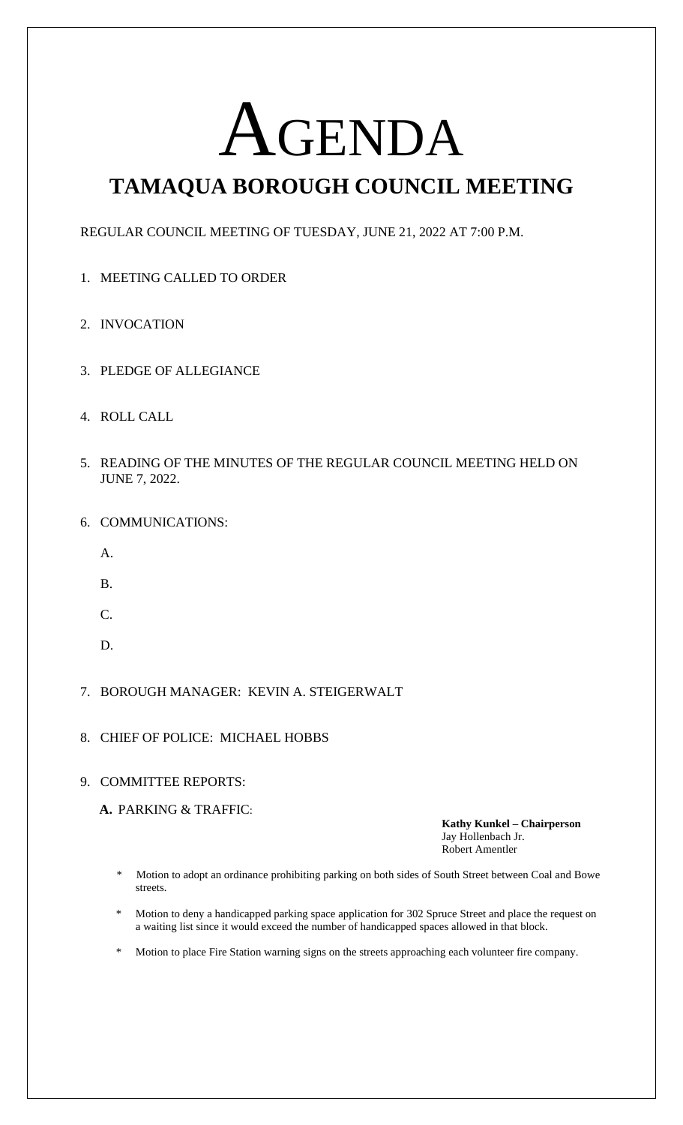# AGENDA

## **TAMAQUA BOROUGH COUNCIL MEETING**

REGULAR COUNCIL MEETING OF TUESDAY, JUNE 21, 2022 AT 7:00 P.M.

- 1. MEETING CALLED TO ORDER
- 2. INVOCATION
- 3. PLEDGE OF ALLEGIANCE
- 4. ROLL CALL
- 5. READING OF THE MINUTES OF THE REGULAR COUNCIL MEETING HELD ON JUNE 7, 2022.
- 6. COMMUNICATIONS:
	- A.
	- B.
	- C.
	- D.
- 7. BOROUGH MANAGER: KEVIN A. STEIGERWALT
- 8. CHIEF OF POLICE: MICHAEL HOBBS

#### 9. COMMITTEE REPORTS:

**A.** PARKING & TRAFFIC:

**Kathy Kunkel – Chairperson** Jay Hollenbach Jr. Robert Amentler

- \* Motion to adopt an ordinance prohibiting parking on both sides of South Street between Coal and Bowe streets.
- Motion to deny a handicapped parking space application for 302 Spruce Street and place the request on a waiting list since it would exceed the number of handicapped spaces allowed in that block.
- Motion to place Fire Station warning signs on the streets approaching each volunteer fire company.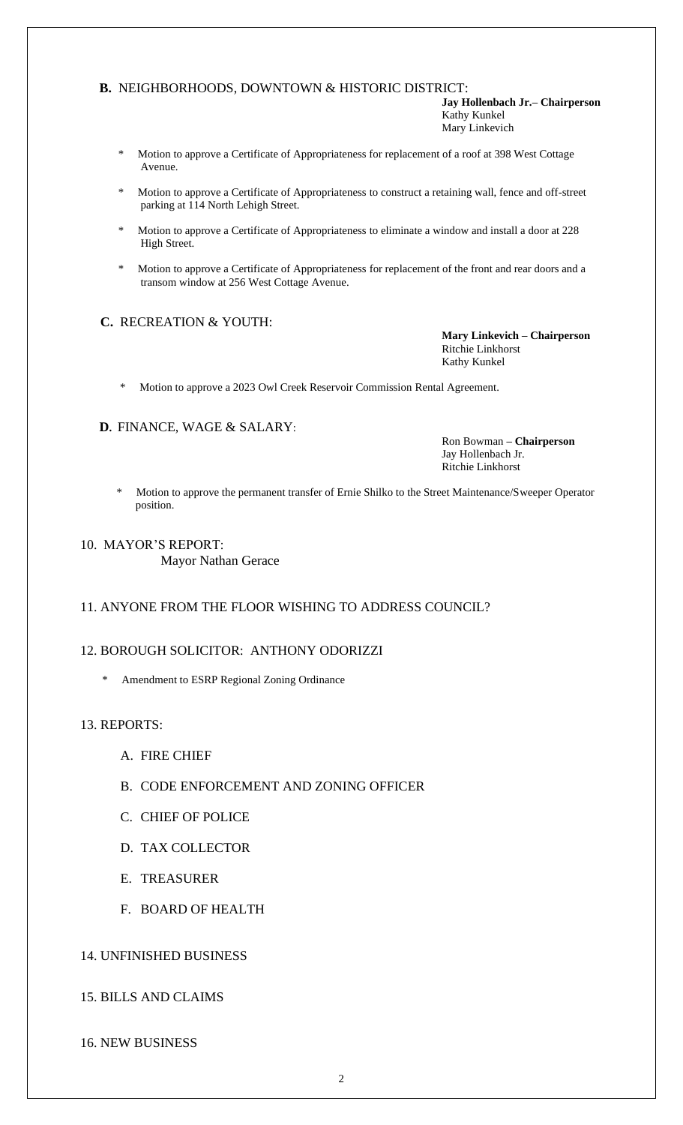#### **B.** NEIGHBORHOODS, DOWNTOWN & HISTORIC DISTRICT:

**Jay Hollenbach Jr.– Chairperson** Kathy Kunkel Mary Linkevich

- \* Motion to approve a Certificate of Appropriateness for replacement of a roof at 398 West Cottage Avenue.
- \* Motion to approve a Certificate of Appropriateness to construct a retaining wall, fence and off-street parking at 114 North Lehigh Street.
- Motion to approve a Certificate of Appropriateness to eliminate a window and install a door at 228 High Street.
- Motion to approve a Certificate of Appropriateness for replacement of the front and rear doors and a transom window at 256 West Cottage Avenue.

#### **C.** RECREATION & YOUTH:

**Mary Linkevich – Chairperson** Ritchie Linkhorst Kathy Kunkel

Motion to approve a 2023 Owl Creek Reservoir Commission Rental Agreement.

#### **D.** FINANCE, WAGE & SALARY:

Ron Bowman **– Chairperson** Jay Hollenbach Jr. Ritchie Linkhorst

 \* Motion to approve the permanent transfer of Ernie Shilko to the Street Maintenance/Sweeper Operator position.

#### 10. MAYOR'S REPORT:

Mayor Nathan Gerace

#### 11. ANYONE FROM THE FLOOR WISHING TO ADDRESS COUNCIL?

#### 12. BOROUGH SOLICITOR: ANTHONY ODORIZZI

\* Amendment to ESRP Regional Zoning Ordinance

#### 13. REPORTS:

- A. FIRE CHIEF
- B. CODE ENFORCEMENT AND ZONING OFFICER
- C. CHIEF OF POLICE
- D. TAX COLLECTOR
- E. TREASURER
- F. BOARD OF HEALTH

#### 14. UNFINISHED BUSINESS

#### 15. BILLS AND CLAIMS

16. NEW BUSINESS